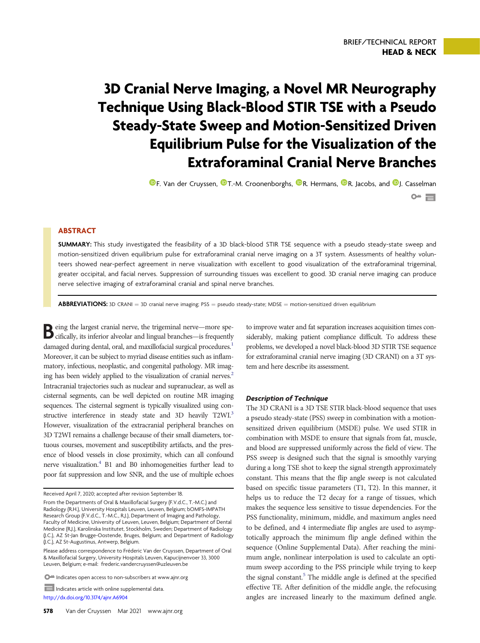# 3D Cranial Nerve Imaging, a Novel MR Neurography Technique Using Black-Blood STIR TSE with a Pseudo Steady-State Sweep and Motion-Sensitized Driven Equilibrium Pulse for the Visualization of the Extraforaminal Cranial Nerve Branches

**O**[F. Van der Cruyssen,](https://orcid.org/0000-0002-6888-9219) O[T.-M. Croonenborghs,](https://orcid.org/0000-0002-2963-2103) O[R. Hermans,](https://orcid.org/0000-0002-9935-5543) O[R. Jacobs,](https://orcid.org/0000-0002-3461-0363) and O[J. Casselman](https://orcid.org/0000-0002-8970-6979)  $\sim$   $\blacksquare$ 

## **ABSTRACT**

SUMMARY: This study investigated the feasibility of a 3D black-blood STIR TSE sequence with a pseudo steady-state sweep and motion-sensitized driven equilibrium pulse for extraforaminal cranial nerve imaging on a 3T system. Assessments of healthy volunteers showed near-perfect agreement in nerve visualization with excellent to good visualization of the extraforaminal trigeminal, greater occipital, and facial nerves. Suppression of surrounding tissues was excellent to good. 3D cranial nerve imaging can produce nerve selective imaging of extraforaminal cranial and spinal nerve branches.

**ABBREVIATIONS:** 3D CRANI = 3D cranial nerve imaging; PSS = pseudo steady-state; MDSE = motion-sensitized driven equilibrium

Being the largest cranial nerve, the trigeminal nerve—more spe-cifically, its inferior alveolar and lingual branches—is frequently damaged during dental, oral, and maxillofacial surgical procedures.<sup>[1](#page-2-0)</sup> Moreover, it can be subject to myriad disease entities such as inflammatory, infectious, neoplastic, and congenital pathology. MR imag-ing has been widely applied to the visualization of cranial nerves.<sup>[2](#page-2-1)</sup> Intracranial trajectories such as nuclear and supranuclear, as well as cisternal segments, can be well depicted on routine MR imaging sequences. The cisternal segment is typically visualized using con-structive interference in steady state and [3](#page-2-2)D heavily T2WI.<sup>3</sup> However, visualization of the extracranial peripheral branches on 3D T2WI remains a challenge because of their small diameters, tortuous courses, movement and susceptibility artifacts, and the presence of blood vessels in close proximity, which can all confound nerve visualization.<sup>4</sup> B1 and B0 inhomogeneities further lead to poor fat suppression and low SNR, and the use of multiple echoes

Indicates article with online supplemental data <http://dx.doi.org/10.3174/ajnr.A6904>

to improve water and fat separation increases acquisition times considerably, making patient compliance difficult. To address these problems, we developed a novel black-blood 3D STIR TSE sequence for extraforaminal cranial nerve imaging (3D CRANI) on a 3T system and here describe its assessment.

#### Description of Technique

The 3D CRANI is a 3D TSE STIR black-blood sequence that uses a pseudo steady-state (PSS) sweep in combination with a motionsensitized driven equilibrium (MSDE) pulse. We used STIR in combination with MSDE to ensure that signals from fat, muscle, and blood are suppressed uniformly across the field of view. The PSS sweep is designed such that the signal is smoothly varying during a long TSE shot to keep the signal strength approximately constant. This means that the flip angle sweep is not calculated based on specific tissue parameters (T1, T2). In this manner, it helps us to reduce the T2 decay for a range of tissues, which makes the sequence less sensitive to tissue dependencies. For the PSS functionality, minimum, middle, and maximum angles need to be defined, and 4 intermediate flip angles are used to asymptotically approach the minimum flip angle defined within the sequence (Online Supplemental Data). After reaching the minimum angle, nonlinear interpolation is used to calculate an optimum sweep according to the PSS principle while trying to keep the signal constant.<sup>5</sup> The middle angle is defined at the specified effective TE. After definition of the middle angle, the refocusing angles are increased linearly to the maximum defined angle.

Received April 7, 2020; accepted after revision September 18.

From the Departments of Oral & Maxillofacial Surgery (F.V.d.C., T.-M.C.) and Radiology (R.H.), University Hospitals Leuven, Leuven, Belgium; bOMFS-IMPATH Research Group (F.V.d.C., T.-M.C., R.J.), Department of Imaging and Pathology, Faculty of Medicine, University of Leuven, Leuven, Belgium; Department of Dental Medicine (R.J.), Karolinska Institutet, Stockholm, Sweden; Department of Radiology (J.C.), AZ St-Jan Brugge-Oostende, Bruges, Belgium; and Department of Radiology (J.C.), AZ St-Augustinus, Antwerp, Belgium.

Please address correspondence to Fréderic Van der Cruyssen, Department of Oral & Maxillofacial Surgery, University Hospitals Leuven, Kapucijnenvoer 33, 3000 Leuven, Belgium; e-mail: [frederic.vandercruyssen@uzleuven.be](mailto:frederic.vandercruyssen@uzleuven.be)

 $\bullet$  Indicates open access to non-subscribers at www.ajnr.org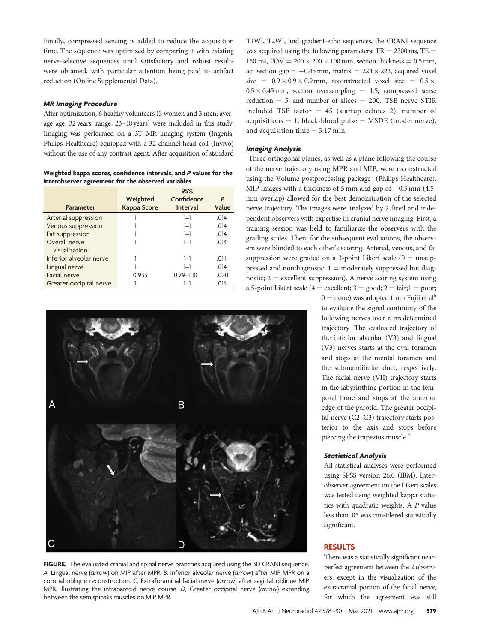Finally, compressed sensing is added to reduce the acquisition time. The sequence was optimized by comparing it with existing nerve-selective sequences until satisfactory and robust results were obtained, with particular attention being paid to artifact reduction (Online Supplemental Data).

#### MR Imaging Procedure

After optimization, 6 healthy volunteers (3 women and 3 men; average age, 32 years; range, 23–48 years) were included in this study. Imaging was performed on a 3T MR imaging system (Ingenia; Philips Healthcare) equipped with a 32-channel head coil (Invivo) without the use of any contrast agent. After acquisition of standard

<span id="page-1-0"></span>Weighted kappa scores, confidence intervals, and P values for the interobserver agreement for the observed variables

|                         |             | 95%             |       |
|-------------------------|-------------|-----------------|-------|
|                         | Weighted    | Confidence      | P     |
| <b>Parameter</b>        | Kappa Score | <b>Interval</b> | Value |
| Arterial suppression    |             | $1 - 1$         | .014  |
| Venous suppression      |             | $1 - 1$         | .014  |
| Fat suppression         |             | $1 - 1$         | .014  |
| Overall nerve           |             | $1 - 1$         | .014  |
| visualization           |             |                 |       |
| Inferior alveolar nerve |             | $1 - 1$         | .014  |
| Lingual nerve           |             | $1 - 1$         | .014  |
| Facial nerve            | 0.933       | $0.79 - 1.10$   | .020  |
| Greater occipital nerve |             | 1—1             | .014  |



<span id="page-1-1"></span>FIGURE. The evaluated cranial and spinal nerve branches acquired using the 3D CRANI sequence. A, Lingual nerve (arrow) on MIP after MPR. B, Inferior alveolar nerve (arrow) after MIP MPR on a coronal oblique reconstruction. C, Extraforaminal facial nerve (arrow) after sagittal oblique MIP MPR, illustrating the intraparotid nerve course. D, Greater occipital nerve (arrow) extending between the semispinalis muscles on MIP MPR.

T1WI, T2WI, and gradient-echo sequences, the CRANI sequence was acquired using the following parameters:  $TR = 2300$  ms,  $TE =$ 150 ms,  $FOV = 200 \times 200 \times 100$  mm, section thickness = 0.5 mm, act section gap =  $-0.45$  mm, matrix =  $224 \times 222$ , acquired voxel size =  $0.9 \times 0.9 \times 0.9$  mm, reconstructed voxel size =  $0.5 \times$  $0.5 \times 0.45$  mm, section oversampling  $= 1.5$ , compressed sense reduction  $= 5$ , and number of slices  $= 200$ . TSE nerve STIR included TSE factor  $= 45$  (startup echoes 2), number of  $acquisitions = 1$ , black-blood pulse  $=$  MSDE (mode: nerve), and acquisition time  $= 5:17$  min.

#### Imaging Analysis

Three orthogonal planes, as well as a plane following the course of the nerve trajectory using MPR and MIP, were reconstructed using the Volume postprocessing package (Philips Healthcare). MIP images with a thickness of 5 mm and gap of  $-0.5$  mm (4.5mm overlap) allowed for the best demonstration of the selected nerve trajectory. The images were analyzed by 2 fixed and independent observers with expertise in cranial nerve imaging. First, a training session was held to familiarize the observers with the grading scales. Then, for the subsequent evaluations, the observers were blinded to each other's scoring. Arterial, venous, and fat suppression were graded on a 3-point Likert scale  $(0 =$  unsuppressed and nondiagnostic;  $1 =$  moderately suppressed but diagnostic;  $2 =$  excellent suppression). A nerve scoring system using a 5-point Likert scale ( $4 =$  excellent;  $3 =$  good;  $2 =$  fair;  $1 =$  poor;

> $0 =$  none) was adopted from Fujii et al<sup>[6](#page-2-5)</sup> to evaluate the signal continuity of the following nerves over a predetermined trajectory. The evaluated trajectory of the inferior alveolar (V3) and lingual (V3) nerves starts at the oval foramen and stops at the mental foramen and the submandibular duct, respectively. The facial nerve (VII) trajectory starts in the labyrinthine portion in the temporal bone and stops at the anterior edge of the parotid. The greater occipital nerve (C2–C3) trajectory starts posterior to the axis and stops before piercing the trapezius muscle.<sup>6</sup>

#### Statistical Analysis

All statistical analyses were performed using SPSS version 26.0 (IBM). Interobserver agreement on the Likert scales was tested using weighted kappa statistics with quadratic weights. A P value less than .05 was considered statistically significant.

#### RESULTS

There was a statistically significant nearperfect agreement between the 2 observers, except in the visualization of the extracranial portion of the facial nerve, for which the agreement was still